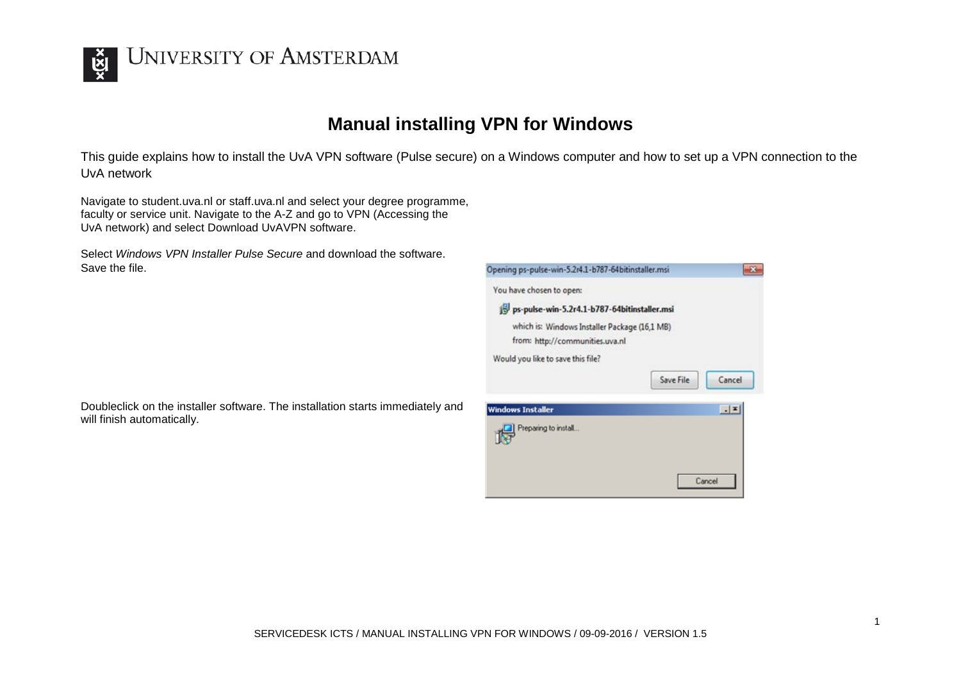

## **UNIVERSITY OF AMSTERDAM**

## **Manual installing VPN for Windows**

This guide explains how to install the UvA VPN software (Pulse secure) on a Windows computer and how to set up a VPN connection to the UvA network

Navigate to student.uva.nl or staff.uva.nl and select your degree programme, faculty or service unit. Navigate to the A-Z and go to VPN (Accessing the UvA network) and select Download UvAVPN software.

Select *Windows VPN Installer Pulse Secure* and download the software. Save the file.



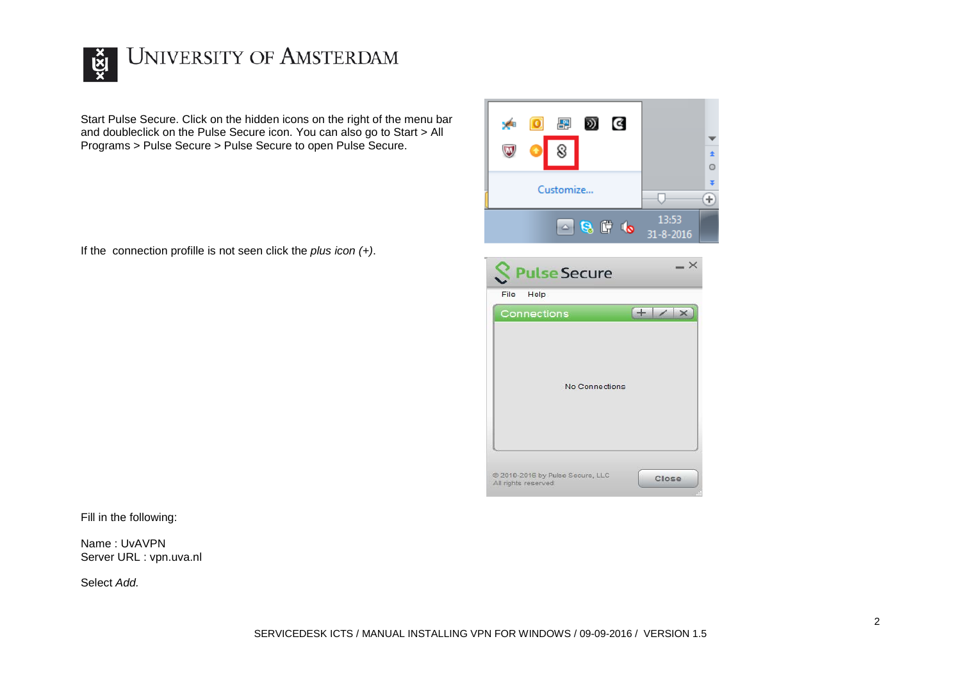

## **UNIVERSITY OF AMSTERDAM**

Start Pulse Secure. Click on the hidden icons on the right of the menu bar and doubleclick on the Pulse Secure icon. You can also go to Start > All Programs > Pulse Secure > Pulse Secure to open Pulse Secure.

If the connection profille is not seen click the *plus icon (+)*.



| File<br>Help<br>Connections |                       | $\pm$ | $\times$ |
|-----------------------------|-----------------------|-------|----------|
|                             |                       |       |          |
|                             | <b>No Connections</b> |       |          |
|                             |                       |       |          |

Fill in the following:

Name : UvAVPN Server URL : vpn.uva.nl

Select *Add.*